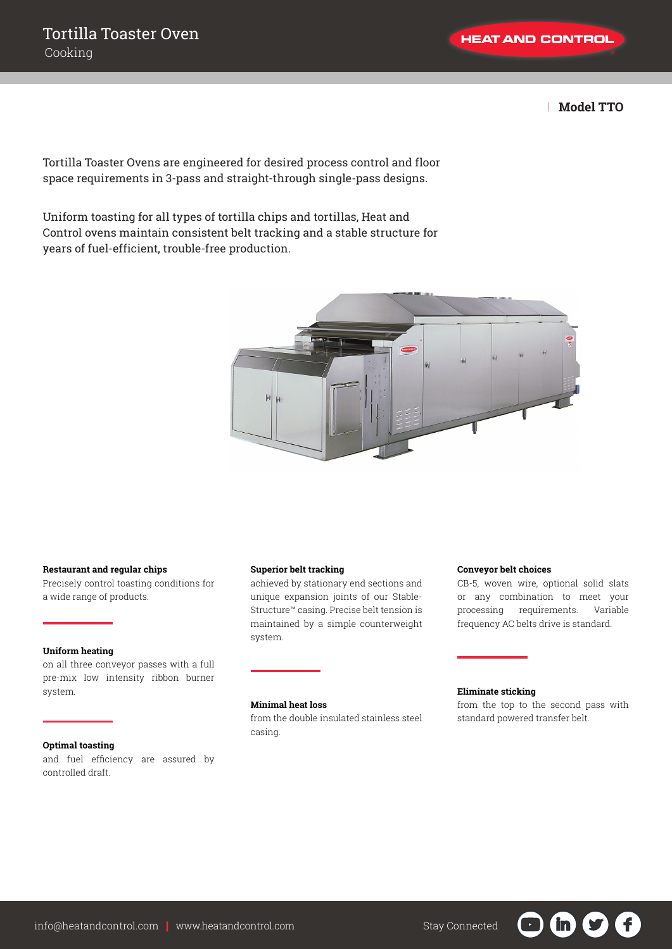| **Model TTO**

Tortilla Toaster Ovens are engineered for desired process control and floor space requirements in 3-pass and straight-through single-pass designs.

Uniform toasting for all types of tortilla chips and tortillas, Heat and Control ovens maintain consistent belt tracking and a stable structure for years of fuel-efficient, trouble-free production.



#### **Restaurant and regular chips**

Precisely control toasting conditions for a wide range of products.

#### **Uniform heating**

on all three conveyor passes with a full pre-mix low intensity ribbon burner system.

#### **Optimal toasting**

and fuel efficiency are assured by controlled draft.

## **Superior belt tracking**

achieved by stationary end sections and unique expansion joints of our Stable-Structure™ casing. Precise belt tension is maintained by a simple counterweight system.

#### **Conveyor belt choices**

CB-5, woven wire, optional solid slats or any combination to meet your processing requirements. Variable frequency AC belts drive is standard.

#### **Minimal heat loss**

from the double insulated stainless steel casing.

### **Eliminate sticking**

from the top to the second pass with standard powered transfer belt.